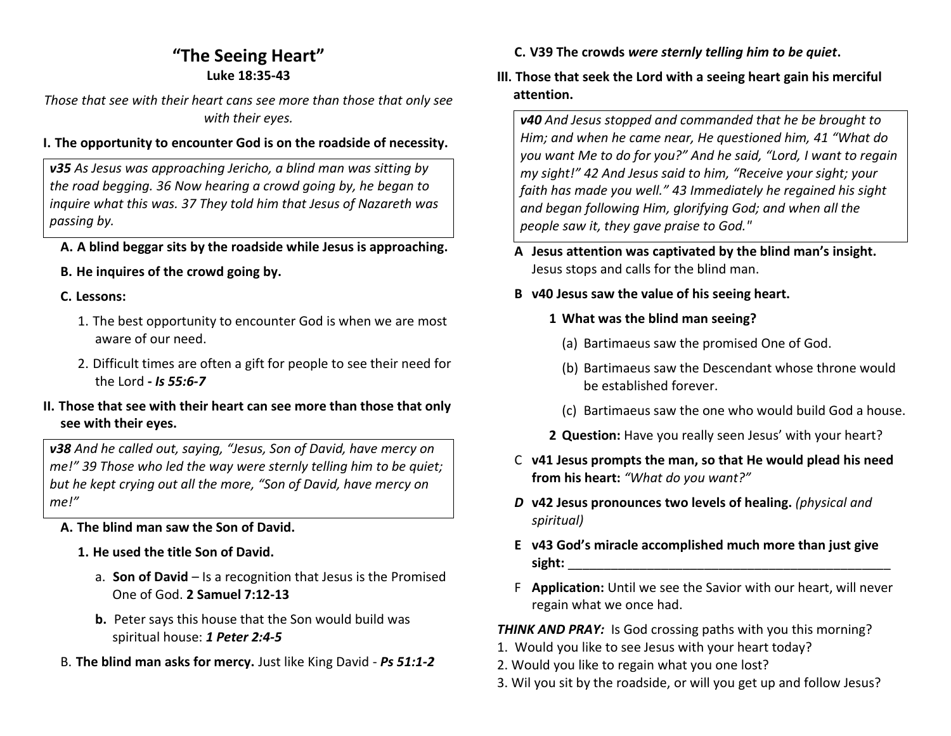# **"The Seeing Heart" Luke 18:35-43**

*Those that see with their heart cans see more than those that only see with their eyes.*

## **I. The opportunity to encounter God is on the roadside of necessity.**

*v35 As Jesus was approaching Jericho, a blind man was sitting by the road begging. 36 Now hearing a crowd going by, he began to inquire what this was. 37 They told him that Jesus of Nazareth was passing by.*

# **A. A blind beggar sits by the roadside while Jesus is approaching.**

# **B. He inquires of the crowd going by.**

## **C. Lessons:**

- 1. The best opportunity to encounter God is when we are most aware of our need.
- 2. Difficult times are often a gift for people to see their need for the Lord **-** *Is 55:6-7*

### **II. Those that see with their heart can see more than those that only see with their eyes.**

*v38 And he called out, saying, "Jesus, Son of David, have mercy on me!" 39 Those who led the way were sternly telling him to be quiet; but he kept crying out all the more, "Son of David, have mercy on me!"*

# **A. The blind man saw the Son of David.**

- **1. He used the title Son of David.** 
	- a. **Son of David** Is a recognition that Jesus is the Promised One of God. **2 Samuel 7:12-13**
	- **b.** Peter says this house that the Son would build was spiritual house: *1 Peter 2:4-5*
- B. **The blind man asks for mercy.** Just like King David *Ps 51:1-2*

**C. V39 The crowds** *were sternly telling him to be quiet***.** 

# **III. Those that seek the Lord with a seeing heart gain his merciful attention.**

*v40 And Jesus stopped and commanded that he be brought to Him; and when he came near, He questioned him, 41 "What do you want Me to do for you?" And he said, "Lord, I want to regain my sight!" 42 And Jesus said to him, "Receive your sight; your faith has made you well." 43 Immediately he regained his sight and began following Him, glorifying God; and when all the people saw it, they gave praise to God."*

- **A Jesus attention was captivated by the blind man's insight.** Jesus stops and calls for the blind man.
- **B v40 Jesus saw the value of his seeing heart.** 
	- **1 What was the blind man seeing?** 
		- (a) Bartimaeus saw the promised One of God.
		- (b) Bartimaeus saw the Descendant whose throne would be established forever.
		- (c) Bartimaeus saw the one who would build God a house.
	- **2 Question:** Have you really seen Jesus' with your heart?
- C **v41 Jesus prompts the man, so that He would plead his need from his heart:** *"What do you want?"*
- *D* **v42 Jesus pronounces two levels of healing.** *(physical and spiritual)*
- **E v43 God's miracle accomplished much more than just give sight:** \_\_\_\_\_\_\_\_\_\_\_\_\_\_\_\_\_\_\_\_\_\_\_\_\_\_\_\_\_\_\_\_\_\_\_\_\_\_\_\_\_\_\_\_\_
- F **Application:** Until we see the Savior with our heart, will never regain what we once had.

**THINK AND PRAY:** Is God crossing paths with you this morning?

- 1. Would you like to see Jesus with your heart today?
- 2. Would you like to regain what you one lost?
- 3. Wil you sit by the roadside, or will you get up and follow Jesus?